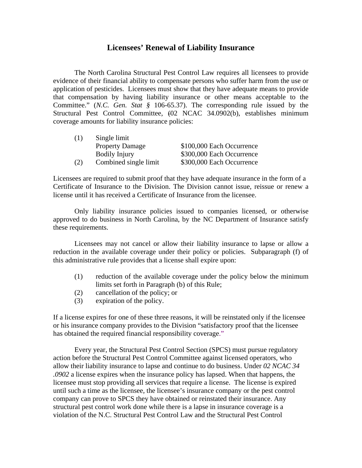## **Licensees' Renewal of Liability Insurance**

The North Carolina Structural Pest Control Law requires all licensees to provide evidence of their financial ability to compensate persons who suffer harm from the use or application of pesticides. Licensees must show that they have adequate means to provide that compensation by having liability insurance or other means acceptable to the Committee." (*N.C. Gen. Stat §* 106-65.37). The corresponding rule issued by the Structural Pest Control Committee, (02 NCAC 34.0902(b), establishes minimum coverage amounts for liability insurance policies:

| (1) | Single limit           |                           |
|-----|------------------------|---------------------------|
|     | <b>Property Damage</b> | \$100,000 Each Occurrence |
|     | <b>Bodily Injury</b>   | \$300,000 Each Occurrence |
| (2) | Combined single limit  | \$300,000 Each Occurrence |

Licensees are required to submit proof that they have adequate insurance in the form of a Certificate of Insurance to the Division. The Division cannot issue, reissue or renew a license until it has received a Certificate of Insurance from the licensee.

Only liability insurance policies issued to companies licensed, or otherwise approved to do business in North Carolina, by the NC Department of Insurance satisfy these requirements.

Licensees may not cancel or allow their liability insurance to lapse or allow a reduction in the available coverage under their policy or policies. Subparagraph (f) of this administrative rule provides that a license shall expire upon:

- (1) reduction of the available coverage under the policy below the minimum limits set forth in Paragraph (b) of this Rule;
- (2) cancellation of the policy; or
- (3) expiration of the policy.

If a license expires for one of these three reasons, it will be reinstated only if the licensee or his insurance company provides to the Division "satisfactory proof that the licensee has obtained the required financial responsibility coverage."

Every year, the Structural Pest Control Section (SPCS) must pursue regulatory action before the Structural Pest Control Committee against licensed operators, who allow their liability insurance to lapse and continue to do business. Under *02 NCAC 34 .0902* a license expires when the insurance policy has lapsed. When that happens, the licensee must stop providing all services that require a license. The license is expired until such a time as the licensee, the licensee's insurance company or the pest control company can prove to SPCS they have obtained or reinstated their insurance. Any structural pest control work done while there is a lapse in insurance coverage is a violation of the N.C. Structural Pest Control Law and the Structural Pest Control